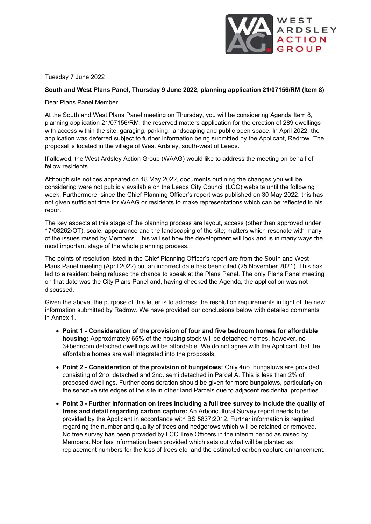

Tuesday 7 June 2022

### **South and West Plans Panel, Thursday 9 June 2022, planning application 21/07156/RM (Item 8)**

Dear Plans Panel Member

At the South and West Plans Panel meeting on Thursday, you will be considering Agenda Item 8, planning application 21/07156/RM, the reserved matters application for the erection of 289 dwellings with access within the site, garaging, parking, landscaping and public open space. In April 2022, the application was deferred subject to further information being submitted by the Applicant, Redrow. The proposal is located in the village of West Ardsley, south-west of Leeds.

If allowed, the West Ardsley Action Group (WAAG) would like to address the meeting on behalf of fellow residents.

Although site notices appeared on 18 May 2022, documents outlining the changes you will be considering were not publicly available on the Leeds City Council (LCC) website until the following week. Furthermore, since the Chief Planning Officer's report was published on 30 May 2022, this has not given sufficient time for WAAG or residents to make representations which can be reflected in his report.

The key aspects at this stage of the planning process are layout, access (other than approved under 17/08262/OT), scale, appearance and the landscaping of the site; matters which resonate with many of the issues raised by Members. This will set how the development will look and is in many ways the most important stage of the whole planning process.

The points of resolution listed in the Chief Planning Officer's report are from the South and West Plans Panel meeting (April 2022) but an incorrect date has been cited (25 November 2021). This has led to a resident being refused the chance to speak at the Plans Panel. The only Plans Panel meeting on that date was the City Plans Panel and, having checked the Agenda, the application was not discussed.

Given the above, the purpose of this letter is to address the resolution requirements in light of the new information submitted by Redrow. We have provided our conclusions below with detailed comments in Annex 1.

- **Point 1 - Consideration of the provision of four and five bedroom homes for affordable housing:** Approximately 65% of the housing stock will be detached homes, however, no 3+bedroom detached dwellings will be affordable. We do not agree with the Applicant that the affordable homes are well integrated into the proposals.
- **Point 2 - Consideration of the provision of bungalows:** Only 4no. bungalows are provided consisting of 2no. detached and 2no. semi detached in Parcel A. This is less than 2% of proposed dwellings. Further consideration should be given for more bungalows, particularly on the sensitive site edges of the site in other land Parcels due to adjacent residential properties.
- **Point 3 - Further information on trees including a full tree survey to include the quality of trees and detail regarding carbon capture:** An Arboricultural Survey report needs to be provided by the Applicant in accordance with BS 5837:2012. Further information is required regarding the number and quality of trees and hedgerows which will be retained or removed. No tree survey has been provided by LCC Tree Officers in the interim period as raised by Members. Nor has information been provided which sets out what will be planted as replacement numbers for the loss of trees etc. and the estimated carbon capture enhancement.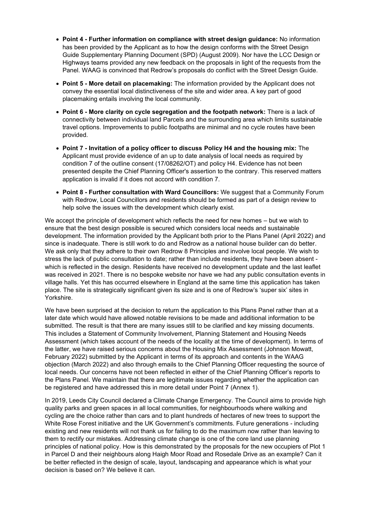- **Point 4 - Further information on compliance with street design guidance:** No information has been provided by the Applicant as to how the design conforms with the Street Design Guide Supplementary Planning Document (SPD) (August 2009). Nor have the LCC Design or Highways teams provided any new feedback on the proposals in light of the requests from the Panel. WAAG is convinced that Redrow's proposals do conflict with the Street Design Guide.
- **Point 5 - More detail on placemaking:** The information provided by the Applicant does not convey the essential local distinctiveness of the site and wider area. A key part of good placemaking entails involving the local community.
- **Point 6 - More clarity on cycle segregation and the footpath network:** There is a lack of connectivity between individual land Parcels and the surrounding area which limits sustainable travel options. Improvements to public footpaths are minimal and no cycle routes have been provided.
- **Point 7 - Invitation of a policy officer to discuss Policy H4 and the housing mix:** The Applicant must provide evidence of an up to date analysis of local needs as required by condition 7 of the outline consent (17/08262/OT) and policy H4. Evidence has not been presented despite the Chief Planning Officer's assertion to the contrary. This reserved matters application is invalid if it does not accord with condition 7.
- **Point 8 - Further consultation with Ward Councillors:** We suggest that a Community Forum with Redrow, Local Councillors and residents should be formed as part of a design review to help solve the issues with the development which clearly exist.

We accept the principle of development which reflects the need for new homes – but we wish to ensure that the best design possible is secured which considers local needs and sustainable development. The information provided by the Applicant both prior to the Plans Panel (April 2022) and since is inadequate. There is still work to do and Redrow as a national house builder can do better. We ask only that they adhere to their own Redrow 8 Principles and involve local people. We wish to stress the lack of public consultation to date; rather than include residents, they have been absent which is reflected in the design. Residents have received no development update and the last leaflet was received in 2021. There is no bespoke website nor have we had any public consultation events in village halls. Yet this has occurred elsewhere in England at the same time this application has taken place. The site is strategically significant given its size and is one of Redrow's 'super six' sites in Yorkshire.

We have been surprised at the decision to return the application to this Plans Panel rather than at a later date which would have allowed notable revisions to be made and additional information to be submitted. The result is that there are many issues still to be clarified and key missing documents. This includes a Statement of Community Involvement, Planning Statement and Housing Needs Assessment (which takes account of the needs of the locality at the time of development). In terms of the latter, we have raised serious concerns about the Housing Mix Assessment (Johnson Mowatt, February 2022) submitted by the Applicant in terms of its approach and contents in the WAAG objection (March 2022) and also through emails to the Chief Planning Officer requesting the source of local needs. Our concerns have not been reflected in either of the Chief Planning Officer's reports to the Plans Panel. We maintain that there are legitimate issues regarding whether the application can be registered and have addressed this in more detail under Point 7 (Annex 1).

In 2019, Leeds City Council declared a Climate Change Emergency. The Council aims to provide high quality parks and green spaces in all local communities, for neighbourhoods where walking and cycling are the choice rather than cars and to plant hundreds of hectares of new trees to support the White Rose Forest initiative and the UK Government's commitments. Future generations - including existing and new residents will not thank us for failing to do the maximum now rather than leaving to them to rectify our mistakes. Addressing climate change is one of the core land use planning principles of national policy. How is this demonstrated by the proposals for the new occupiers of Plot 1 in Parcel D and their neighbours along Haigh Moor Road and Rosedale Drive as an example? Can it be better reflected in the design of scale, layout, landscaping and appearance which is what your decision is based on? We believe it can.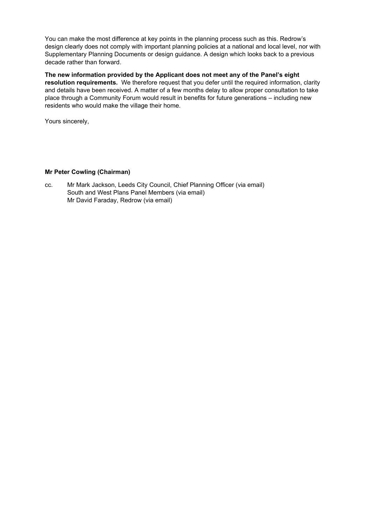You can make the most difference at key points in the planning process such as this. Redrow's design clearly does not comply with important planning policies at a national and local level, nor with Supplementary Planning Documents or design guidance. A design which looks back to a previous decade rather than forward.

**The new information provided by the Applicant does not meet any of the Panel's eight resolution requirements.** We therefore request that you defer until the required information, clarity and details have been received. A matter of a few months delay to allow proper consultation to take place through a Community Forum would result in benefits for future generations – including new residents who would make the village their home.

Yours sincerely,

### **Mr Peter Cowling (Chairman)**

cc. Mr Mark Jackson, Leeds City Council, Chief Planning Officer (via email) South and West Plans Panel Members (via email) Mr David Faraday, Redrow (via email)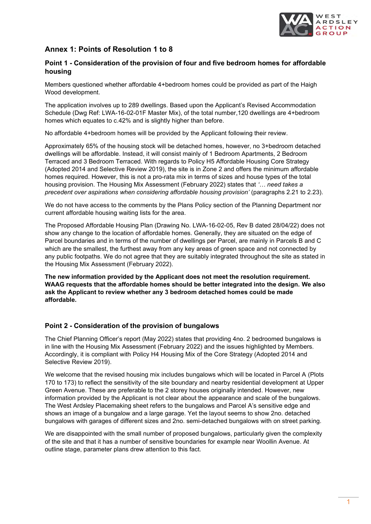

# **Annex 1: Points of Resolution 1 to 8**

# **Point 1 - Consideration of the provision of four and five bedroom homes for affordable housing**

Members questioned whether affordable 4+bedroom homes could be provided as part of the Haigh Wood development.

The application involves up to 289 dwellings. Based upon the Applicant's Revised Accommodation Schedule (Dwg Ref: LWA-16-02-01F Master Mix), of the total number,120 dwellings are 4+bedroom homes which equates to c.42% and is slightly higher than before.

No affordable 4+bedroom homes will be provided by the Applicant following their review.

Approximately 65% of the housing stock will be detached homes, however, no 3+bedroom detached dwellings will be affordable. Instead, it will consist mainly of 1 Bedroom Apartments, 2 Bedroom Terraced and 3 Bedroom Terraced. With regards to Policy H5 Affordable Housing Core Strategy (Adopted 2014 and Selective Review 2019), the site is in Zone 2 and offers the minimum affordable homes required. However, this is not a pro-rata mix in terms of sizes and house types of the total housing provision. The Housing Mix Assessment (February 2022) states that *'… need takes a precedent over aspirations when considering affordable housing provision'* (paragraphs 2.21 to 2.23).

We do not have access to the comments by the Plans Policy section of the Planning Department nor current affordable housing waiting lists for the area.

The Proposed Affordable Housing Plan (Drawing No. LWA-16-02-05, Rev B dated 28/04/22) does not show any change to the location of affordable homes. Generally, they are situated on the edge of Parcel boundaries and in terms of the number of dwellings per Parcel, are mainly in Parcels B and C which are the smallest, the furthest away from any key areas of green space and not connected by any public footpaths. We do not agree that they are suitably integrated throughout the site as stated in the Housing Mix Assessment (February 2022).

**The new information provided by the Applicant does not meet the resolution requirement. WAAG requests that the affordable homes should be better integrated into the design. We also ask the Applicant to review whether any 3 bedroom detached homes could be made affordable.**

### **Point 2 - Consideration of the provision of bungalows**

The Chief Planning Officer's report (May 2022) states that providing 4no. 2 bedroomed bungalows is in line with the Housing Mix Assessment (February 2022) and the issues highlighted by Members. Accordingly, it is compliant with Policy H4 Housing Mix of the Core Strategy (Adopted 2014 and Selective Review 2019).

We welcome that the revised housing mix includes bungalows which will be located in Parcel A (Plots 170 to 173) to reflect the sensitivity of the site boundary and nearby residential development at Upper Green Avenue. These are preferable to the 2 storey houses originally intended. However, new information provided by the Applicant is not clear about the appearance and scale of the bungalows. The West Ardsley Placemaking sheet refers to the bungalows and Parcel A's sensitive edge and shows an image of a bungalow and a large garage. Yet the layout seems to show 2no. detached bungalows with garages of different sizes and 2no. semi-detached bungalows with on street parking.

We are disappointed with the small number of proposed bungalows, particularly given the complexity of the site and that it has a number of sensitive boundaries for example near Woollin Avenue. At outline stage, parameter plans drew attention to this fact.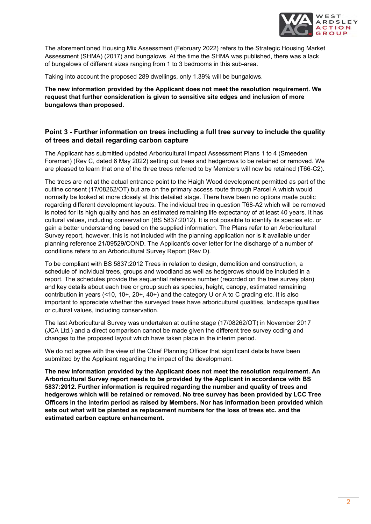

The aforementioned Housing Mix Assessment (February 2022) refers to the Strategic Housing Market Assessment (SHMA) (2017) and bungalows. At the time the SHMA was published, there was a lack of bungalows of different sizes ranging from 1 to 3 bedrooms in this sub-area.

Taking into account the proposed 289 dwellings, only 1.39% will be bungalows.

**The new information provided by the Applicant does not meet the resolution requirement. We request that further consideration is given to sensitive site edges and inclusion of more bungalows than proposed.**

### **Point 3 - Further information on trees including a full tree survey to include the quality of trees and detail regarding carbon capture**

The Applicant has submitted updated Arboricultural Impact Assessment Plans 1 to 4 (Smeeden Foreman) (Rev C, dated 6 May 2022) setting out trees and hedgerows to be retained or removed. We are pleased to learn that one of the three trees referred to by Members will now be retained (T66-C2).

The trees are not at the actual entrance point to the Haigh Wood development permitted as part of the outline consent (17/08262/OT) but are on the primary access route through Parcel A which would normally be looked at more closely at this detailed stage. There have been no options made public regarding different development layouts. The individual tree in question T68-A2 which will be removed is noted for its high quality and has an estimated remaining life expectancy of at least 40 years. It has cultural values, including conservation (BS 5837:2012). It is not possible to identify its species etc. or gain a better understanding based on the supplied information. The Plans refer to an Arboricultural Survey report, however, this is not included with the planning application nor is it available under planning reference 21/09529/COND. The Applicant's cover letter for the discharge of a number of conditions refers to an Arboricultural Survey Report (Rev D).

To be compliant with BS 5837:2012 Trees in relation to design, demolition and construction, a schedule of individual trees, groups and woodland as well as hedgerows should be included in a report. The schedules provide the sequential reference number (recorded on the tree survey plan) and key details about each tree or group such as species, height, canopy, estimated remaining contribution in years (<10, 10+, 20+, 40+) and the category U or A to C grading etc. It is also important to appreciate whether the surveyed trees have arboricultural qualities, landscape qualities or cultural values, including conservation.

The last Arboricultural Survey was undertaken at outline stage (17/08262/OT) in November 2017 (JCA Ltd.) and a direct comparison cannot be made given the different tree survey coding and changes to the proposed layout which have taken place in the interim period.

We do not agree with the view of the Chief Planning Officer that significant details have been submitted by the Applicant regarding the impact of the development.

**The new information provided by the Applicant does not meet the resolution requirement. An Arboricultural Survey report needs to be provided by the Applicant in accordance with BS 5837:2012. Further information is required regarding the number and quality of trees and hedgerows which will be retained or removed. No tree survey has been provided by LCC Tree Officers in the interim period as raised by Members. Nor has information been provided which sets out what will be planted as replacement numbers for the loss of trees etc. and the estimated carbon capture enhancement.**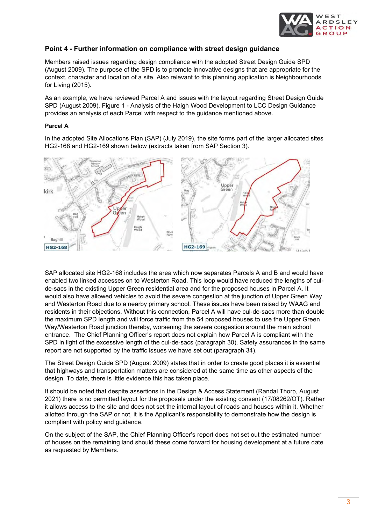

### **Point 4 - Further information on compliance with street design guidance**

Members raised issues regarding design compliance with the adopted Street Design Guide SPD (August 2009). The purpose of the SPD is to promote innovative designs that are appropriate for the context, character and location of a site. Also relevant to this planning application is Neighbourhoods for Living (2015).

As an example, we have reviewed Parcel A and issues with the layout regarding Street Design Guide SPD (August 2009). Figure 1 - Analysis of the Haigh Wood Development to LCC Design Guidance provides an analysis of each Parcel with respect to the guidance mentioned above.

### **Parcel A**

In the adopted Site Allocations Plan (SAP) (July 2019), the site forms part of the larger allocated sites HG2-168 and HG2-169 shown below (extracts taken from SAP Section 3).



SAP allocated site HG2-168 includes the area which now separates Parcels A and B and would have enabled two linked accesses on to Westerton Road. This loop would have reduced the lengths of culde-sacs in the existing Upper Green residential area and for the proposed houses in Parcel A. It would also have allowed vehicles to avoid the severe congestion at the junction of Upper Green Way and Westerton Road due to a nearby primary school. These issues have been raised by WAAG and residents in their objections. Without this connection, Parcel A will have cul-de-sacs more than double the maximum SPD length and will force traffic from the 54 proposed houses to use the Upper Green Way/Westerton Road junction thereby, worsening the severe congestion around the main school entrance. The Chief Planning Officer's report does not explain how Parcel A is compliant with the SPD in light of the excessive length of the cul-de-sacs (paragraph 30). Safety assurances in the same report are not supported by the traffic issues we have set out (paragraph 34).

The Street Design Guide SPD (August 2009) states that in order to create good places it is essential that highways and transportation matters are considered at the same time as other aspects of the design. To date, there is little evidence this has taken place.

It should be noted that despite assertions in the Design & Access Statement (Randal Thorp, August 2021) there is no permitted layout for the proposals under the existing consent (17/08262/OT). Rather it allows access to the site and does not set the internal layout of roads and houses within it. Whether allotted through the SAP or not, it is the Applicant's responsibility to demonstrate how the design is compliant with policy and guidance.

On the subject of the SAP, the Chief Planning Officer's report does not set out the estimated number of houses on the remaining land should these come forward for housing development at a future date as requested by Members.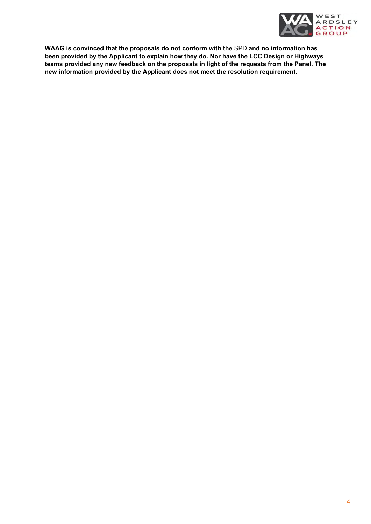

**WAAG is convinced that the proposals do not conform with the** SPD **and no information has been provided by the Applicant to explain how they do. Nor have the LCC Design or Highways teams provided any new feedback on the proposals in light of the requests from the Panel**. **The new information provided by the Applicant does not meet the resolution requirement.**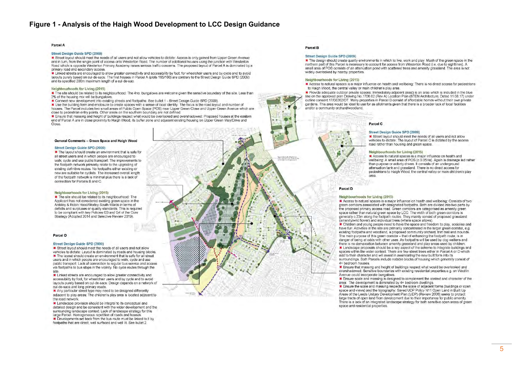### **Figure 1 - Analysis of the Haigh Wood Development to LCC Design Guidance**

#### Parcel A

#### Street Design Guide SPD (2009)

\* Street layout should meet the needs of all users and not allow vehicles to dictate: Access is only gained from Upper Green Avenue and in turn, from the single point of access onto Westerton Road. The number of additional houses using the junction with Westerton Road which is opposite Westerton Primary Academy raises serious traffic concerns. The proposed layout of Parcel A is dominated by a primary road and secondary access

\* Linked streets are encouraged to allow greater connectivity and accessibility by foot, for wheelchair users and by cycle and to avoid layouts purely based on cul-de-sacs: The first houses in Parcel A (plots 165/166) are contrary to the Street Design Guide SPD (2009) and its specified 200m maximum length of a cul-de-sac

#### Neighbourhoods for Living (2015)

\* The site should be related to its neighbourhood: The 4no, bungalows are welcome given the sensitive boundary of the site. Less than 2% of the housing mix will be bungalows

\* Connect new development into existing streets and footpaths: See bullet 1 - Street Design Guide SPD (2009)

\* Use the building form and enclosure to create spaces with a sense of local identity: The focus is the road layout and number of houses. The Parcel includes two small areas of Public Open Space (POS) near Upper Green Close and Upper Green Avenue which are close to pedestrian entry points. Other areas on the southern boundary are not defined

\* Ensure that massing and height of buildings respect what would be overlooked and overshadowed: Proposed houses at the eastern end of Parcel A are in close proximity to Haigh Wood, its buffer zone and adiacent existing housing on Upper Green Way/Drive and Close

#### General Comments - Green Space and Haigh Wood

### Street Design Guide SPD (2009)

The layout should create an environment that is safe for all street users and in which people are encouraged to walk, cycle and use public transport: The improvements to the footpath network primarily relate to the upgrading of existing definitive routes. No footpaths either existing or new are suitable for cyclists. The increased overall length of the footpath network is minimal plus there is a lack of connection for Parcels B and C.

#### Neighbourhoods for Living (2015)

The site should be related to its neighbourhood: The Applicant has not considered existing green space in the Ardsley & Robin Hood/Morley South Wards in terms of deficits and surpluses or quality standards. This is required to be compliant with key Policies G3 and G4 of the Core Strategy (Adopted 2014 and Selective Review 2019)

Parcel D

#### Street Design Guide SPD (2009)

\* Street layout should meet the needs of all users and not allow vehicles to dictate: Layout is dominated by roads and housing blocks. \* The layout should create an environment that is safe for all street users and in which people are encouraged to walk, cycle and use public transport: Lack of connection to regular bus service and access via footpaths to bus stops in the vicinity. No cycle routes through the

\* Linked streets are encouraged to allow greater connectivity and accessibility by foot, for wheelchair users and by cycle and to avoid layouts purely based on cul-de-sacs: Design depends on a network of cul-de-sacs and long primary roads

\* Any particular street type may need to be designed differently adjacent to play areas: The children's play area is located adjacent to the road network

\* Landscape provision should be integral to its conceptual and detailed design and be consistent with the wider development and the surrounding landscape context: Lack of landscape strategy for this large Parcel. Homogeneous repetition of roads and houses

\* Developments set back from the bus route must be linked to it by footpaths that are direct, well surfaced and well lit. See bullet 2.

### Parcel B

n

### Street Design Guide SPD (2009)

\* The design should create quality environments in which to live, work and play: Much of the green space in the northern part of this Parcel is necessary to account for access from Westerton Road (i.e. due to sightlines). A small area of POS consists of an attenuation pond with scattered trees and amenity grassland. The area is not widely overlooked by nearby properties.

#### Neighbourhoods for Living (2015)

\* Access to natural spaces is a major influence on health and wellbeing: There is no direct access for pedestrians to Haigh Wood, the central valley or main children's play area.

Provide adequate outdoor private spaces: Immediately adjacent (east) is an area which is included in the blue line on the approved plan Drawing No. 1706.02 (Rev A) Location Plan (STEN Architecture, Dated 11.08.17) under outline consent 17/08262/OT. Many properties in Parcel B consist of affordable homes without their own private gardens. This area would be ideal to use for as allotments given that there is a broader lack of local facilities and/or a community orchard/woodland.



#### Street Design Guide SPD (2009)

Street layout should meet the needs of all users and not allow vehicles to dictate. The layout of Parcel C is dictated by the access road rather than housing and green space.

#### **Neighbourhoods for Living (2015)**

Access to natural spaces is a major influence on health and wellbeing: A small area of POS (c.0.05Ha). Again is drainage led rather than purpose or activity driven. It consists of an underground attenuation tank and grassland. There is no direct access for pedestrians to Haigh Wood, the central valley or main children's play area

### Parcel D

#### Neighbourhoods for Living (2015)

\* Access to natural spaces is a major influence on health and wellbeing: Consists of two green corridors associated with designated footpaths. Both are divided into two parts by the proposed primary access road. Green corridors are categorised as amenity green space rather than natural green space by LCC. The width of both green corridors is generally c.23m along the footpath routes. They mainly consist of proposed grassland (amenity/wild flower) and individual trees (where space allows).

\* Children and voung people need to have the space and freedom to play, socialise and have fun: Activities in the site are primarily concentrated in the larger green corridor, e.g. existing footpaths and woodland, a proposed community orchard, trim trail and mounds. The main purpose of this green corridor - that of enhancing the footpath route, is in danger of being at odds with other uses. As footpaths will be used by dog walkers and there is no demarcation between amenity grassland and play areas used by children. \* Landscape proposals should be a key aspect of the scheme to integrate buildings and spaces within the wider context: There are few street trees either in Parcel A or D which add to their character and will assist in assimilating the new built form into its surroundings. Both Parcels include notable blocks of housing which generally consist of 4+ bedroom houses.

\* Ensure that massing and height of buildings respect what would be overlooked and overshadowed: Sensitive boundaries with existing residential properties e.g. on Woollin Avenue could incorporate bungalows

\* Ensure scale and massing is designed to complement the context and character of the area: The development is dominated by 4+ bedroom dwellings.

\* Ensure the scale and massing respects the scale of adjacent forms (buildings or open space and views) and the topography: Saved UDP Policy N11 Open Land in Built Up Areas of the Leeds Unitary Development Plan (UDP) (Review 2006) seeks to protect large tracts of open land from development due to their importance for public amenity. There is a lack of an integrated landscape strategy for both sensitive open areas of green space and residential properties.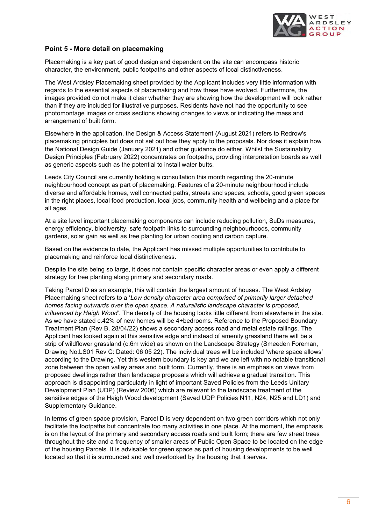

## **Point 5 - More detail on placemaking**

Placemaking is a key part of good design and dependent on the site can encompass historic character, the environment, public footpaths and other aspects of local distinctiveness.

The West Ardsley Placemaking sheet provided by the Applicant includes very little information with regards to the essential aspects of placemaking and how these have evolved. Furthermore, the images provided do not make it clear whether they are showing how the development will look rather than if they are included for illustrative purposes. Residents have not had the opportunity to see photomontage images or cross sections showing changes to views or indicating the mass and arrangement of built form.

Elsewhere in the application, the Design & Access Statement (August 2021) refers to Redrow's placemaking principles but does not set out how they apply to the proposals. Nor does it explain how the National Design Guide (January 2021) and other guidance do either. Whilst the Sustainability Design Principles (February 2022) concentrates on footpaths, providing interpretation boards as well as generic aspects such as the potential to install water butts.

Leeds City Council are currently holding a consultation this month regarding the 20-minute neighbourhood concept as part of placemaking. Features of a 20-minute neighbourhood include diverse and affordable homes, well connected paths, streets and spaces, schools, good green spaces in the right places, local food production, local jobs, community health and wellbeing and a place for all ages.

At a site level important placemaking components can include reducing pollution, SuDs measures, energy efficiency, biodiversity, safe footpath links to surrounding neighbourhoods, community gardens, solar gain as well as tree planting for urban cooling and carbon capture.

Based on the evidence to date, the Applicant has missed multiple opportunities to contribute to placemaking and reinforce local distinctiveness.

Despite the site being so large, it does not contain specific character areas or even apply a different strategy for tree planting along primary and secondary roads.

Taking Parcel D as an example, this will contain the largest amount of houses. The West Ardsley Placemaking sheet refers to a '*Low density character area comprised of primarily larger detached homes facing outwards over the open space. A naturalistic landscape character is proposed, influenced by Haigh Wood*'. The density of the housing looks little different from elsewhere in the site. As we have stated c.42% of new homes will be 4+bedrooms. Reference to the Proposed Boundary Treatment Plan (Rev B, 28/04/22) shows a secondary access road and metal estate railings. The Applicant has looked again at this sensitive edge and instead of amenity grassland there will be a strip of wildflower grassland (c.6m wide) as shown on the Landscape Strategy (Smeeden Foreman, Drawing No.LS01 Rev C: Dated: 06 05 22). The individual trees will be included 'where space allows' according to the Drawing. Yet this western boundary is key and we are left with no notable transitional zone between the open valley areas and built form. Currently, there is an emphasis on views from proposed dwellings rather than landscape proposals which will achieve a gradual transition. This approach is disappointing particularly in light of important Saved Policies from the Leeds Unitary Development Plan (UDP) (Review 2006) which are relevant to the landscape treatment of the sensitive edges of the Haigh Wood development (Saved UDP Policies N11, N24, N25 and LD1) and Supplementary Guidance.

In terms of green space provision, Parcel D is very dependent on two green corridors which not only facilitate the footpaths but concentrate too many activities in one place. At the moment, the emphasis is on the layout of the primary and secondary access roads and built form; there are few street trees throughout the site and a frequency of smaller areas of Public Open Space to be located on the edge of the housing Parcels. It is advisable for green space as part of housing developments to be well located so that it is surrounded and well overlooked by the housing that it serves.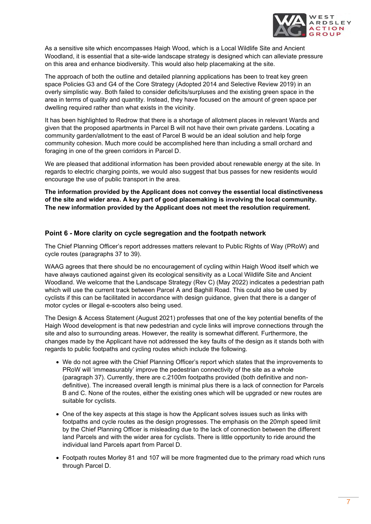

As a sensitive site which encompasses Haigh Wood, which is a Local Wildlife Site and Ancient Woodland, it is essential that a site-wide landscape strategy is designed which can alleviate pressure on this area and enhance biodiversity. This would also help placemaking at the site.

The approach of both the outline and detailed planning applications has been to treat key green space Policies G3 and G4 of the Core Strategy (Adopted 2014 and Selective Review 2019) in an overly simplistic way. Both failed to consider deficits/surpluses and the existing green space in the area in terms of quality and quantity. Instead, they have focused on the amount of green space per dwelling required rather than what exists in the vicinity.

It has been highlighted to Redrow that there is a shortage of allotment places in relevant Wards and given that the proposed apartments in Parcel B will not have their own private gardens. Locating a community garden/allotment to the east of Parcel B would be an ideal solution and help forge community cohesion. Much more could be accomplished here than including a small orchard and foraging in one of the green corridors in Parcel D.

We are pleased that additional information has been provided about renewable energy at the site. In regards to electric charging points, we would also suggest that bus passes for new residents would encourage the use of public transport in the area.

**The information provided by the Applicant does not convey the essential local distinctiveness of the site and wider area. A key part of good placemaking is involving the local community. The new information provided by the Applicant does not meet the resolution requirement.**

### **Point 6 - More clarity on cycle segregation and the footpath network**

The Chief Planning Officer's report addresses matters relevant to Public Rights of Way (PRoW) and cycle routes (paragraphs 37 to 39).

WAAG agrees that there should be no encouragement of cycling within Haigh Wood itself which we have always cautioned against given its ecological sensitivity as a Local Wildlife Site and Ancient Woodland. We welcome that the Landscape Strategy (Rev C) (May 2022) indicates a pedestrian path which will use the current track between Parcel A and Baghill Road. This could also be used by cyclists if this can be facilitated in accordance with design guidance, given that there is a danger of motor cycles or illegal e-scooters also being used.

The Design & Access Statement (August 2021) professes that one of the key potential benefits of the Haigh Wood development is that new pedestrian and cycle links will improve connections through the site and also to surrounding areas. However, the reality is somewhat different. Furthermore, the changes made by the Applicant have not addressed the key faults of the design as it stands both with regards to public footpaths and cycling routes which include the following.

- We do not agree with the Chief Planning Officer's report which states that the improvements to PRoW will 'immeasurably' improve the pedestrian connectivity of the site as a whole (paragraph 37). Currently, there are c.2100m footpaths provided (both definitive and nondefinitive). The increased overall length is minimal plus there is a lack of connection for Parcels B and C. None of the routes, either the existing ones which will be upgraded or new routes are suitable for cyclists.
- One of the key aspects at this stage is how the Applicant solves issues such as links with footpaths and cycle routes as the design progresses. The emphasis on the 20mph speed limit by the Chief Planning Officer is misleading due to the lack of connection between the different land Parcels and with the wider area for cyclists. There is little opportunity to ride around the individual land Parcels apart from Parcel D.
- Footpath routes Morley 81 and 107 will be more fragmented due to the primary road which runs through Parcel D.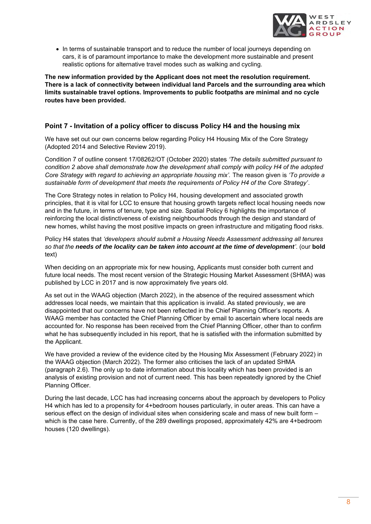

• In terms of sustainable transport and to reduce the number of local journeys depending on cars, it is of paramount importance to make the development more sustainable and present realistic options for alternative travel modes such as walking and cycling.

**The new information provided by the Applicant does not meet the resolution requirement. There is a lack of connectivity between individual land Parcels and the surrounding area which limits sustainable travel options. Improvements to public footpaths are minimal and no cycle routes have been provided.**

# **Point 7 - Invitation of a policy officer to discuss Policy H4 and the housing mix**

We have set out our own concerns below regarding Policy H4 Housing Mix of the Core Strategy (Adopted 2014 and Selective Review 2019).

Condition 7 of outline consent 17/08262/OT (October 2020) states *'The details submitted pursuant to condition 2 above shall demonstrate how the development shall comply with policy H4 of the adopted Core Strategy with regard to achieving an appropriate housing mix'.* The reason given is *'To provide a sustainable form of development that meets the requirements of Policy H4 of the Core Strategy'*.

The Core Strategy notes in relation to Policy H4, housing development and associated growth principles, that it is vital for LCC to ensure that housing growth targets reflect local housing needs now and in the future, in terms of tenure, type and size. Spatial Policy 6 highlights the importance of reinforcing the local distinctiveness of existing neighbourhoods through the design and standard of new homes, whilst having the most positive impacts on green infrastructure and mitigating flood risks.

Policy H4 states that *'developers should submit a Housing Needs Assessment addressing all tenures so that the needs of the locality can be taken into account at the time of development'*. (our **bold** text)

When deciding on an appropriate mix for new housing, Applicants must consider both current and future local needs. The most recent version of the Strategic Housing Market Assessment (SHMA) was published by LCC in 2017 and is now approximately five years old.

As set out in the WAAG objection (March 2022), in the absence of the required assessment which addresses local needs, we maintain that this application is invalid. As stated previously, we are disappointed that our concerns have not been reflected in the Chief Planning Officer's reports. A WAAG member has contacted the Chief Planning Officer by email to ascertain where local needs are accounted for. No response has been received from the Chief Planning Officer, other than to confirm what he has subsequently included in his report, that he is satisfied with the information submitted by the Applicant.

We have provided a review of the evidence cited by the Housing Mix Assessment (February 2022) in the WAAG objection (March 2022). The former also criticises the lack of an updated SHMA (paragraph 2.6). The only up to date information about this locality which has been provided is an analysis of existing provision and not of current need. This has been repeatedly ignored by the Chief Planning Officer.

During the last decade, LCC has had increasing concerns about the approach by developers to Policy H4 which has led to a propensity for 4+bedroom houses particularly, in outer areas. This can have a serious effect on the design of individual sites when considering scale and mass of new built form – which is the case here. Currently, of the 289 dwellings proposed, approximately 42% are 4+bedroom houses (120 dwellings).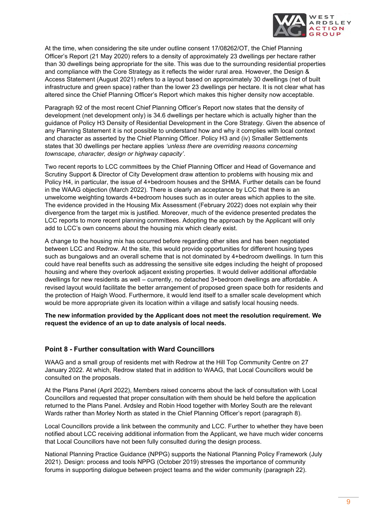![](_page_11_Picture_0.jpeg)

At the time, when considering the site under outline consent 17/08262/OT, the Chief Planning Officer's Report (21 May 2020) refers to a density of approximately 23 dwellings per hectare rather than 30 dwellings being appropriate for the site. This was due to the surrounding residential properties and compliance with the Core Strategy as it reflects the wider rural area. However, the Design & Access Statement (August 2021) refers to a layout based on approximately 30 dwellings (net of built infrastructure and green space) rather than the lower 23 dwellings per hectare. It is not clear what has altered since the Chief Planning Officer's Report which makes this higher density now acceptable.

Paragraph 92 of the most recent Chief Planning Officer's Report now states that the density of development (net development only) is 34.6 dwellings per hectare which is actually higher than the guidance of Policy H3 Density of Residential Development in the Core Strategy. Given the absence of any Planning Statement it is not possible to understand how and why it complies with local context and character as asserted by the Chief Planning Officer. Policy H3 and (iv) Smaller Settlements states that 30 dwellings per hectare applies *'unless there are overriding reasons concerning townscape, character, design or highway capacity'*.

Two recent reports to LCC committees by the Chief Planning Officer and Head of Governance and Scrutiny Support & Director of City Development draw attention to problems with housing mix and Policy H4, in particular, the issue of 4+bedroom houses and the SHMA. Further details can be found in the WAAG objection (March 2022). There is clearly an acceptance by LCC that there is an unwelcome weighting towards 4+bedroom houses such as in outer areas which applies to the site. The evidence provided in the Housing Mix Assessment (February 2022) does not explain why their divergence from the target mix is justified. Moreover, much of the evidence presented predates the LCC reports to more recent planning committees. Adopting the approach by the Applicant will only add to LCC's own concerns about the housing mix which clearly exist.

A change to the housing mix has occurred before regarding other sites and has been negotiated between LCC and Redrow. At the site, this would provide opportunities for different housing types such as bungalows and an overall scheme that is not dominated by 4+bedroom dwellings. In turn this could have real benefits such as addressing the sensitive site edges including the height of proposed housing and where they overlook adjacent existing properties. It would deliver additional affordable dwellings for new residents as well – currently, no detached 3+bedroom dwellings are affordable. A revised layout would facilitate the better arrangement of proposed green space both for residents and the protection of Haigh Wood. Furthermore, it would lend itself to a smaller scale development which would be more appropriate given its location within a village and satisfy local housing needs.

**The new information provided by the Applicant does not meet the resolution requirement. We request the evidence of an up to date analysis of local needs.**

### **Point 8 - Further consultation with Ward Councillors**

WAAG and a small group of residents met with Redrow at the Hill Top Community Centre on 27 January 2022. At which, Redrow stated that in addition to WAAG, that Local Councillors would be consulted on the proposals.

At the Plans Panel (April 2022), Members raised concerns about the lack of consultation with Local Councillors and requested that proper consultation with them should be held before the application returned to the Plans Panel. Ardsley and Robin Hood together with Morley South are the relevant Wards rather than Morley North as stated in the Chief Planning Officer's report (paragraph 8).

Local Councillors provide a link between the community and LCC. Further to whether they have been notified about LCC receiving additional information from the Applicant, we have much wider concerns that Local Councillors have not been fully consulted during the design process.

National Planning Practice Guidance (NPPG) supports the National Planning Policy Framework (July 2021). Design: process and tools NPPG (October 2019) stresses the importance of community forums in supporting dialogue between project teams and the wider community (paragraph 22).